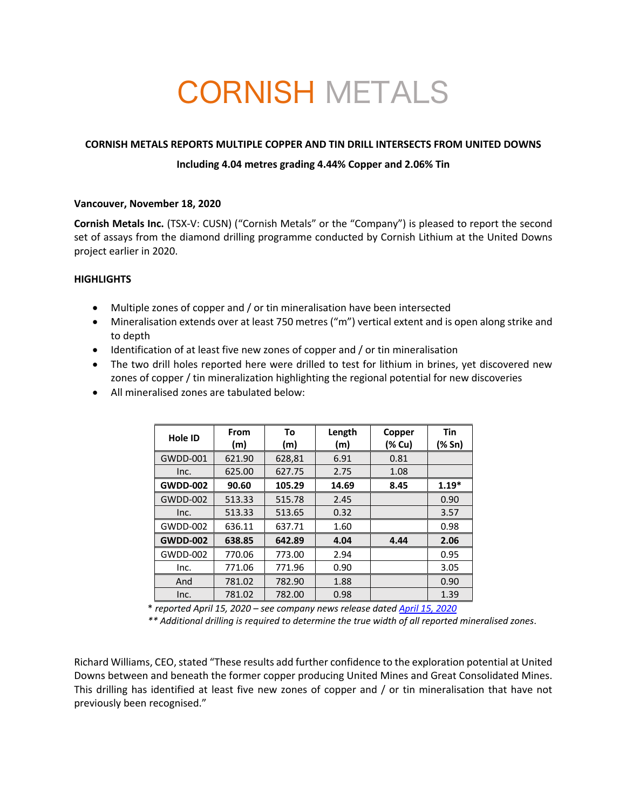# CORNISH METALS

# **CORNISH METALS REPORTS MULTIPLE COPPER AND TIN DRILL INTERSECTS FROM UNITED DOWNS**

# **Including 4.04 metres grading 4.44% Copper and 2.06% Tin**

#### **Vancouver, November 18, 2020**

**Cornish Metals Inc.** (TSX-V: CUSN) ("Cornish Metals" or the "Company") is pleased to report the second set of assays from the diamond drilling programme conducted by Cornish Lithium at the United Downs project earlier in 2020.

# **HIGHLIGHTS**

- Multiple zones of copper and / or tin mineralisation have been intersected
- Mineralisation extends over at least 750 metres ("m") vertical extent and is open along strike and to depth
- Identification of at least five new zones of copper and / or tin mineralisation
- The two drill holes reported here were drilled to test for lithium in brines, yet discovered new zones of copper / tin mineralization highlighting the regional potential for new discoveries
- All mineralised zones are tabulated below:

| Hole ID         | From<br>(m) | To<br>(m) | Length<br>(m) | Copper<br>(% Cu) | <b>Tin</b><br>(% Sn) |
|-----------------|-------------|-----------|---------------|------------------|----------------------|
| <b>GWDD-001</b> | 621.90      | 628,81    | 6.91          | 0.81             |                      |
| Inc.            | 625.00      | 627.75    | 2.75          | 1.08             |                      |
| <b>GWDD-002</b> | 90.60       | 105.29    | 14.69         | 8.45             | $1.19*$              |
| <b>GWDD-002</b> | 513.33      | 515.78    | 2.45          |                  | 0.90                 |
| Inc.            | 513.33      | 513.65    | 0.32          |                  | 3.57                 |
| GWDD-002        | 636.11      | 637.71    | 1.60          |                  | 0.98                 |
| <b>GWDD-002</b> | 638.85      | 642.89    | 4.04          | 4.44             | 2.06                 |
| <b>GWDD-002</b> | 770.06      | 773.00    | 2.94          |                  | 0.95                 |
| Inc.            | 771.06      | 771.96    | 0.90          |                  | 3.05                 |
| And             | 781.02      | 782.90    | 1.88          |                  | 0.90                 |
| Inc.            | 781.02      | 782.00    | 0.98          |                  | 1.39                 |

\* *reported April 15, 2020 – see company news release dated April 15, 2020*

*\*\* Additional drilling is required to determine the true width of all reported mineralised zones*.

Richard Williams, CEO, stated "These results add further confidence to the exploration potential at United Downs between and beneath the former copper producing United Mines and Great Consolidated Mines. This drilling has identified at least five new zones of copper and / or tin mineralisation that have not previously been recognised."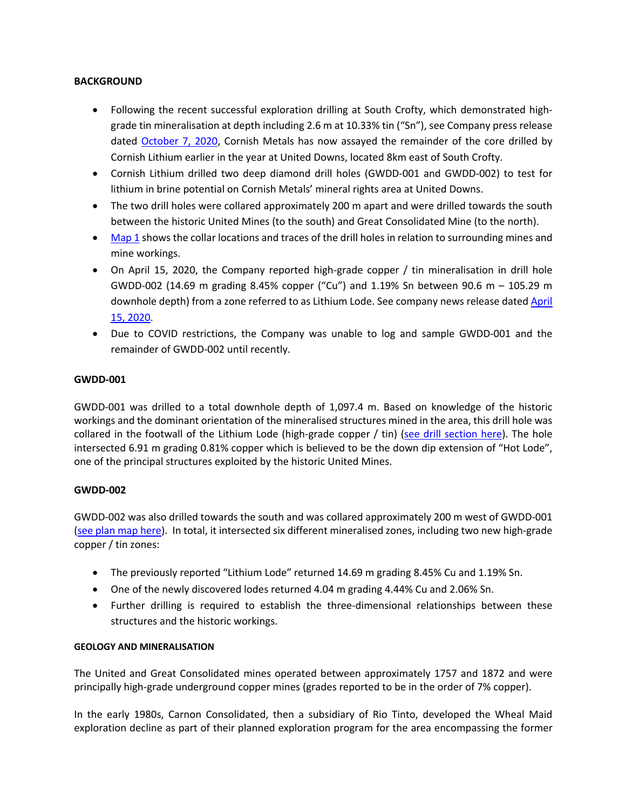# **BACKGROUND**

- Following the recent successful exploration drilling at South Crofty, which demonstrated highgrade tin mineralisation at depth including 2.6 m at 10.33% tin ("Sn"), see Company press release dated October 7, 2020, Cornish Metals has now assayed the remainder of the core drilled by Cornish Lithium earlier in the year at United Downs, located 8km east of South Crofty.
- Cornish Lithium drilled two deep diamond drill holes (GWDD-001 and GWDD-002) to test for lithium in brine potential on Cornish Metals' mineral rights area at United Downs.
- The two drill holes were collared approximately 200 m apart and were drilled towards the south between the historic United Mines (to the south) and Great Consolidated Mine (to the north).
- Map 1 shows the collar locations and traces of the drill holes in relation to surrounding mines and mine workings.
- On April 15, 2020, the Company reported high-grade copper / tin mineralisation in drill hole GWDD-002 (14.69 m grading 8.45% copper ("Cu") and 1.19% Sn between 90.6 m – 105.29 m downhole depth) from a zone referred to as Lithium Lode. See company news release dated April 15, 2020.
- Due to COVID restrictions, the Company was unable to log and sample GWDD-001 and the remainder of GWDD-002 until recently.

# **GWDD-001**

GWDD-001 was drilled to a total downhole depth of 1,097.4 m. Based on knowledge of the historic workings and the dominant orientation of the mineralised structures mined in the area, this drill hole was collared in the footwall of the Lithium Lode (high-grade copper / tin) (see drill section here). The hole intersected 6.91 m grading 0.81% copper which is believed to be the down dip extension of "Hot Lode", one of the principal structures exploited by the historic United Mines.

# **GWDD-002**

GWDD-002 was also drilled towards the south and was collared approximately 200 m west of GWDD-001 (see plan map here). In total, it intersected six different mineralised zones, including two new high-grade copper / tin zones:

- The previously reported "Lithium Lode" returned 14.69 m grading 8.45% Cu and 1.19% Sn.
- One of the newly discovered lodes returned 4.04 m grading 4.44% Cu and 2.06% Sn.
- Further drilling is required to establish the three-dimensional relationships between these structures and the historic workings.

# **GEOLOGY AND MINERALISATION**

The United and Great Consolidated mines operated between approximately 1757 and 1872 and were principally high-grade underground copper mines (grades reported to be in the order of 7% copper).

In the early 1980s, Carnon Consolidated, then a subsidiary of Rio Tinto, developed the Wheal Maid exploration decline as part of their planned exploration program for the area encompassing the former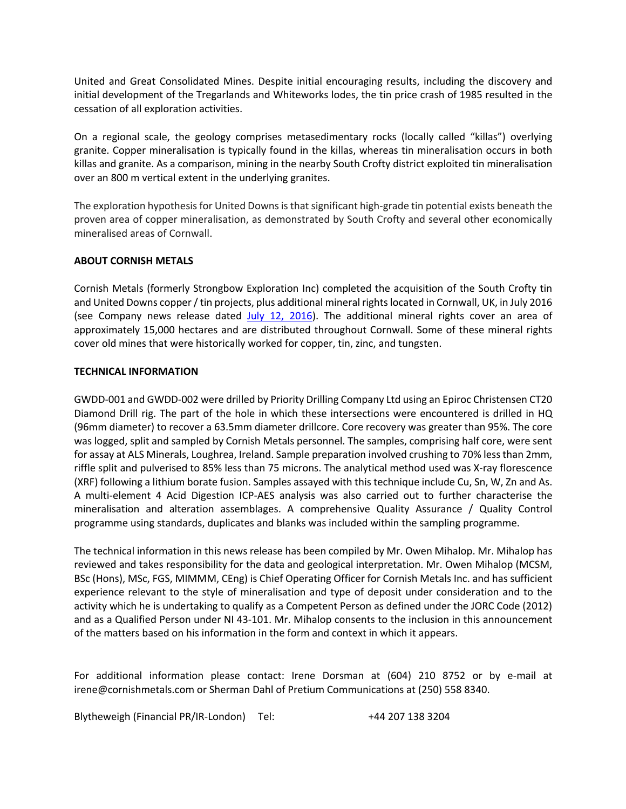United and Great Consolidated Mines. Despite initial encouraging results, including the discovery and initial development of the Tregarlands and Whiteworks lodes, the tin price crash of 1985 resulted in the cessation of all exploration activities.

On a regional scale, the geology comprises metasedimentary rocks (locally called "killas") overlying granite. Copper mineralisation is typically found in the killas, whereas tin mineralisation occurs in both killas and granite. As a comparison, mining in the nearby South Crofty district exploited tin mineralisation over an 800 m vertical extent in the underlying granites.

The exploration hypothesis for United Downs is that significant high-grade tin potential exists beneath the proven area of copper mineralisation, as demonstrated by South Crofty and several other economically mineralised areas of Cornwall.

#### **ABOUT CORNISH METALS**

Cornish Metals (formerly Strongbow Exploration Inc) completed the acquisition of the South Crofty tin and United Downs copper / tin projects, plus additional mineral rights located in Cornwall, UK, in July 2016 (see Company news release dated July 12, 2016). The additional mineral rights cover an area of approximately 15,000 hectares and are distributed throughout Cornwall. Some of these mineral rights cover old mines that were historically worked for copper, tin, zinc, and tungsten.

#### **TECHNICAL INFORMATION**

GWDD-001 and GWDD-002 were drilled by Priority Drilling Company Ltd using an Epiroc Christensen CT20 Diamond Drill rig. The part of the hole in which these intersections were encountered is drilled in HQ (96mm diameter) to recover a 63.5mm diameter drillcore. Core recovery was greater than 95%. The core was logged, split and sampled by Cornish Metals personnel. The samples, comprising half core, were sent for assay at ALS Minerals, Loughrea, Ireland. Sample preparation involved crushing to 70% less than 2mm, riffle split and pulverised to 85% less than 75 microns. The analytical method used was X-ray florescence (XRF) following a lithium borate fusion. Samples assayed with this technique include Cu, Sn, W, Zn and As. A multi-element 4 Acid Digestion ICP-AES analysis was also carried out to further characterise the mineralisation and alteration assemblages. A comprehensive Quality Assurance / Quality Control programme using standards, duplicates and blanks was included within the sampling programme.

The technical information in this news release has been compiled by Mr. Owen Mihalop. Mr. Mihalop has reviewed and takes responsibility for the data and geological interpretation. Mr. Owen Mihalop (MCSM, BSc (Hons), MSc, FGS, MIMMM, CEng) is Chief Operating Officer for Cornish Metals Inc. and has sufficient experience relevant to the style of mineralisation and type of deposit under consideration and to the activity which he is undertaking to qualify as a Competent Person as defined under the JORC Code (2012) and as a Qualified Person under NI 43-101. Mr. Mihalop consents to the inclusion in this announcement of the matters based on his information in the form and context in which it appears.

For additional information please contact: Irene Dorsman at (604) 210 8752 or by e-mail at irene@cornishmetals.com or Sherman Dahl of Pretium Communications at (250) 558 8340.

Blytheweigh (Financial PR/IR-London) Tel: +44 207 138 3204